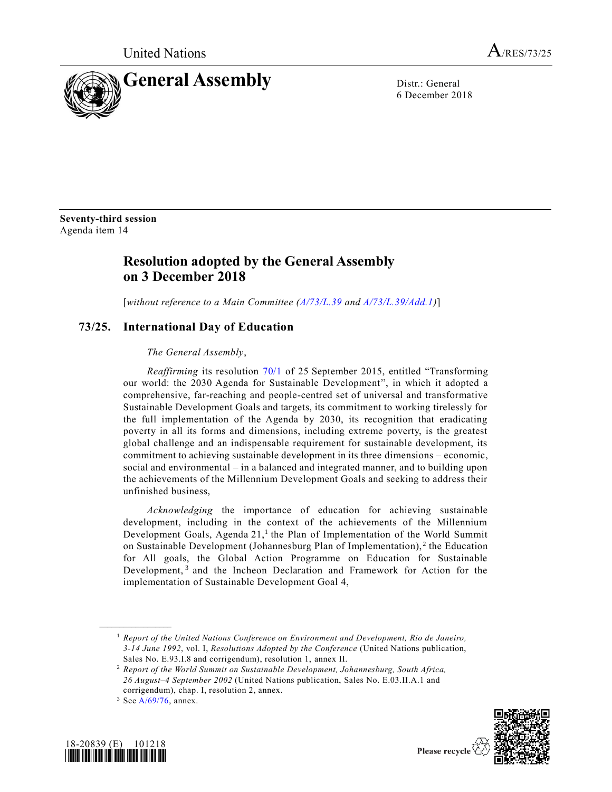

6 December 2018

**Seventy-third session** Agenda item 14

## **Resolution adopted by the General Assembly on 3 December 2018**

[*without reference to a Main Committee [\(A/73/L.39](https://undocs.org/A/73/L.39) and [A/73/L.39/Add.1\)](https://undocs.org/A/73/L.39/Add.1)*]

## **73/25. International Day of Education**

## *The General Assembly*,

*Reaffirming* its resolution [70/1](https://undocs.org/A/RES/70/1) of 25 September 2015, entitled "Transforming our world: the 2030 Agenda for Sustainable Development", in which it adopted a comprehensive, far-reaching and people-centred set of universal and transformative Sustainable Development Goals and targets, its commitment to working tirelessly for the full implementation of the Agenda by 2030, its recognition that eradicating poverty in all its forms and dimensions, including extreme poverty, is the greatest global challenge and an indispensable requirement for sustainable development, its commitment to achieving sustainable development in its three dimensions – economic, social and environmental – in a balanced and integrated manner, and to building upon the achievements of the Millennium Development Goals and seeking to address their unfinished business,

*Acknowledging* the importance of education for achieving sustainable development, including in the context of the achievements of the Millennium Development Goals, Agenda 21,<sup>1</sup> the Plan of Implementation of the World Summit on Sustainable Development (Johannesburg Plan of Implementation),<sup>2</sup> the Education for All goals, the Global Action Programme on Education for Sustainable Development,<sup>3</sup> and the Incheon Declaration and Framework for Action for the implementation of Sustainable Development Goal 4,

**\_\_\_\_\_\_\_\_\_\_\_\_\_\_\_\_\_\_**





<sup>1</sup> *Report of the United Nations Conference on Environment and Development, Rio de Janeiro, 3-14 June 1992*, vol. I, *Resolutions Adopted by the Conference* (United Nations publication, Sales No. E.93.I.8 and corrigendum), resolution 1, annex II.

<sup>2</sup> *Report of the World Summit on Sustainable Development, Johannesburg, South Africa, 26 August–4 September 2002* (United Nations publication, Sales No. E.03.II.A.1 and corrigendum), chap. I, resolution 2, annex.

 $3$  Se[e A/69/76,](https://undocs.org/A/69/76) annex.